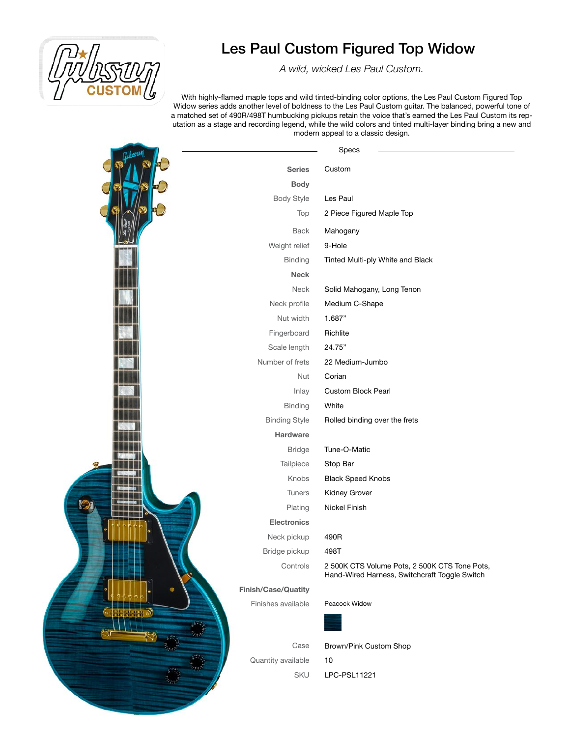

*A wild, wicked Les Paul Custom.*

With highly-flamed maple tops and wild tinted-binding color options, the Les Paul Custom Figured Top Widow series adds another level of boldness to the Les Paul Custom guitar. The balanced, powerful tone of a matched set of 490R/498T humbucking pickups retain the voice that's earned the Les Paul Custom its reputation as a stage and recording legend, while the wild colors and tinted multi-layer binding bring a new and modern appeal to a classic design.

|         |                      | Specs                                                                                          |
|---------|----------------------|------------------------------------------------------------------------------------------------|
|         | <b>Series</b>        | Custom                                                                                         |
|         | <b>Body</b>          |                                                                                                |
|         | <b>Body Style</b>    | Les Paul                                                                                       |
|         | Top                  | 2 Piece Figured Maple Top                                                                      |
|         | <b>Back</b>          | Mahogany                                                                                       |
|         | Weight relief        | 9-Hole                                                                                         |
|         | <b>Binding</b>       | Tinted Multi-ply White and Black                                                               |
|         | <b>Neck</b>          |                                                                                                |
|         | Neck                 | Solid Mahogany, Long Tenon                                                                     |
|         | Neck profile         | Medium C-Shape                                                                                 |
|         | Nut width            | 1.687"                                                                                         |
|         | Fingerboard          | Richlite                                                                                       |
|         | Scale length         | 24.75"                                                                                         |
|         | Number of frets      | 22 Medium-Jumbo                                                                                |
|         | Nut                  | Corian                                                                                         |
|         | Inlay                | Custom Block Pearl                                                                             |
|         | <b>Binding</b>       | White                                                                                          |
|         | <b>Binding Style</b> | Rolled binding over the frets                                                                  |
|         | Hardware             |                                                                                                |
|         | <b>Bridge</b>        | Tune-O-Matic                                                                                   |
|         | Tailpiece            | Stop Bar                                                                                       |
|         | Knobs                | <b>Black Speed Knobs</b>                                                                       |
|         | Tuners               | Kidney Grover                                                                                  |
| $\odot$ | Plating              | Nickel Finish                                                                                  |
|         | <b>Electronics</b>   |                                                                                                |
|         | Neck pickup          | 490R                                                                                           |
|         | Bridge pickup        | 498T                                                                                           |
|         | Controls             | 2 500K CTS Volume Pots, 2 500K CTS Tone Pots,<br>Hand-Wired Harness, Switchcraft Toggle Switch |
|         | Finish/Case/Quatity  |                                                                                                |
|         | Finishes available   | Peacock Widow                                                                                  |
|         |                      |                                                                                                |
|         | Case                 | Brown/Pink Custom Shop                                                                         |
|         | Quantity available   | 10                                                                                             |
|         | SKU                  | LPC-PSL11221                                                                                   |
|         |                      |                                                                                                |
|         |                      |                                                                                                |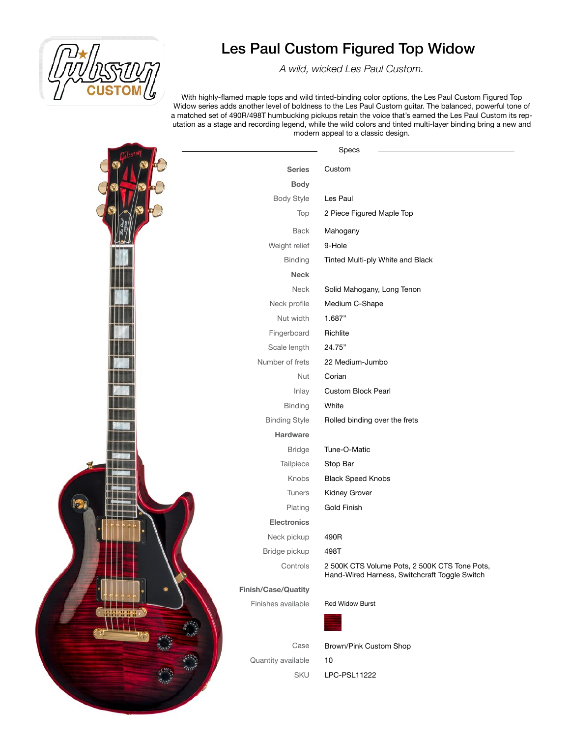

*A wild, wicked Les Paul Custom.*

With highly-flamed maple tops and wild tinted-binding color options, the Les Paul Custom Figured Top Widow series adds another level of boldness to the Les Paul Custom guitar. The balanced, powerful tone of a matched set of 490R/498T humbucking pickups retain the voice that's earned the Les Paul Custom its reputation as a stage and recording legend, while the wild colors and tinted multi-layer binding bring a new and modern appeal to a classic design.

|   |                      | Specs                                                                                          |
|---|----------------------|------------------------------------------------------------------------------------------------|
|   | <b>Series</b>        | Custom                                                                                         |
|   | <b>Body</b>          |                                                                                                |
|   | <b>Body Style</b>    | Les Paul                                                                                       |
|   | Top                  | 2 Piece Figured Maple Top                                                                      |
|   | <b>Back</b>          | Mahogany                                                                                       |
|   | Weight relief        | 9-Hole                                                                                         |
|   | Binding              | Tinted Multi-ply White and Black                                                               |
|   | <b>Neck</b>          |                                                                                                |
|   | Neck                 | Solid Mahogany, Long Tenon                                                                     |
|   | Neck profile         | Medium C-Shape                                                                                 |
|   | Nut width            | 1.687"                                                                                         |
|   | Fingerboard          | Richlite                                                                                       |
|   | Scale length         | 24.75"                                                                                         |
|   | Number of frets      | 22 Medium-Jumbo                                                                                |
|   | Nut                  | Corian                                                                                         |
|   | Inlay                | Custom Block Pearl                                                                             |
|   | Binding              | White                                                                                          |
|   | <b>Binding Style</b> | Rolled binding over the frets                                                                  |
|   | Hardware             |                                                                                                |
|   | <b>Bridge</b>        | Tune-O-Matic                                                                                   |
|   | Tailpiece            | Stop Bar                                                                                       |
|   | Knobs                | <b>Black Speed Knobs</b>                                                                       |
|   | Tuners               | Kidney Grover                                                                                  |
| 洞 | Plating              | <b>Gold Finish</b>                                                                             |
|   | Electronics          |                                                                                                |
|   | Neck pickup          | 490R                                                                                           |
|   | Bridge pickup        | 498T                                                                                           |
|   | Controls             | 2 500K CTS Volume Pots, 2 500K CTS Tone Pots,<br>Hand-Wired Harness, Switchcraft Toggle Switch |
|   | Finish/Case/Quatity  |                                                                                                |
|   | Finishes available   | <b>Red Widow Burst</b>                                                                         |
|   |                      |                                                                                                |
|   | Case                 | Brown/Pink Custom Shop                                                                         |
|   | Quantity available   | $10$                                                                                           |
|   | SKU                  | LPC-PSL11222                                                                                   |
|   |                      |                                                                                                |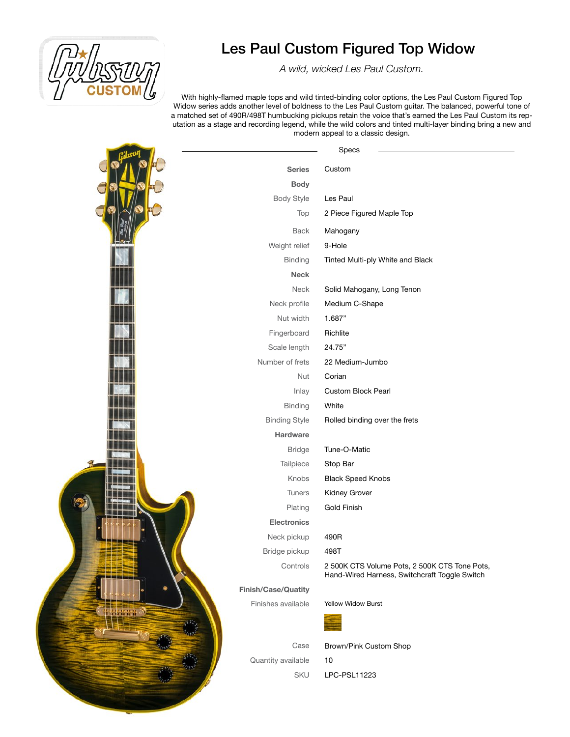

*A wild, wicked Les Paul Custom.*

With highly-flamed maple tops and wild tinted-binding color options, the Les Paul Custom Figured Top Widow series adds another level of boldness to the Les Paul Custom guitar. The balanced, powerful tone of a matched set of 490R/498T humbucking pickups retain the voice that's earned the Les Paul Custom its reputation as a stage and recording legend, while the wild colors and tinted multi-layer binding bring a new and modern appeal to a classic design.

 $\mathbf{r}$ 

|                      | Specs                                                                                          |
|----------------------|------------------------------------------------------------------------------------------------|
| <b>Series</b>        | Custom                                                                                         |
| <b>Body</b>          |                                                                                                |
| <b>Body Style</b>    | Les Paul                                                                                       |
| Top                  | 2 Piece Figured Maple Top                                                                      |
| Back                 | Mahogany                                                                                       |
| Weight relief        | 9-Hole                                                                                         |
| Binding              | Tinted Multi-ply White and Black                                                               |
| <b>Neck</b>          |                                                                                                |
| Neck                 | Solid Mahogany, Long Tenon                                                                     |
| Neck profile         | Medium C-Shape                                                                                 |
| Nut width            | 1.687"                                                                                         |
| Fingerboard          | Richlite                                                                                       |
| Scale length         | 24.75"                                                                                         |
| Number of frets      | 22 Medium-Jumbo                                                                                |
| Nut                  | Corian                                                                                         |
| Inlay                | Custom Block Pearl                                                                             |
| Binding              | White                                                                                          |
| <b>Binding Style</b> | Rolled binding over the frets                                                                  |
| Hardware             |                                                                                                |
| <b>Bridge</b>        | Tune-O-Matic                                                                                   |
| Tailpiece            | Stop Bar                                                                                       |
| Knobs                | <b>Black Speed Knobs</b>                                                                       |
| Tuners               | Kidney Grover                                                                                  |
| Plating              | <b>Gold Finish</b>                                                                             |
| Electronics          |                                                                                                |
| Neck pickup          | 490R                                                                                           |
| Bridge pickup        | 498T                                                                                           |
| Controls             | 2 500K CTS Volume Pots, 2 500K CTS Tone Pots,<br>Hand-Wired Harness, Switchcraft Toggle Switch |
| Finish/Case/Quatity  |                                                                                                |
| Finishes available   | Yellow Widow Burst                                                                             |
|                      |                                                                                                |
| Case                 | Brown/Pink Custom Shop                                                                         |
| Quantity available   | 10                                                                                             |
| SKU                  | LPC-PSL11223                                                                                   |
|                      |                                                                                                |
|                      |                                                                                                |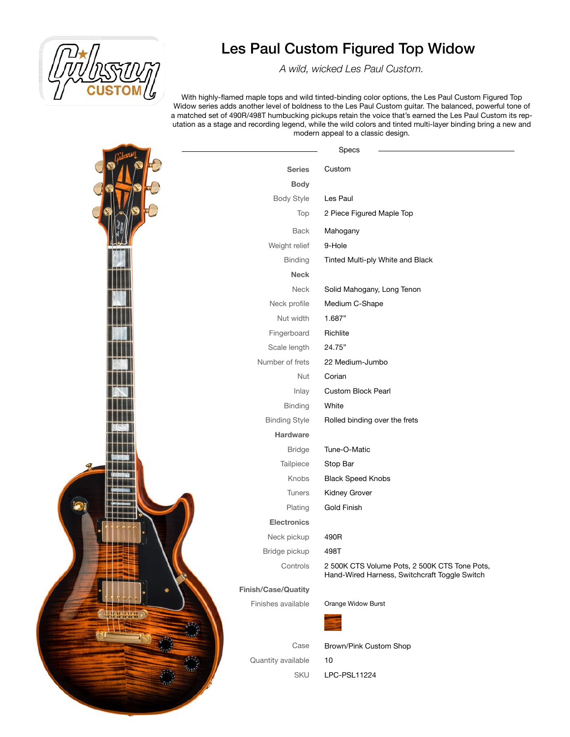

*A wild, wicked Les Paul Custom.*

With highly-flamed maple tops and wild tinted-binding color options, the Les Paul Custom Figured Top Widow series adds another level of boldness to the Les Paul Custom guitar. The balanced, powerful tone of a matched set of 490R/498T humbucking pickups retain the voice that's earned the Les Paul Custom its reputation as a stage and recording legend, while the wild colors and tinted multi-layer binding bring a new and modern appeal to a classic design.

|                      | Specs                                                                                          |
|----------------------|------------------------------------------------------------------------------------------------|
| <b>Series</b>        | Custom                                                                                         |
| <b>Body</b>          |                                                                                                |
| <b>Body Style</b>    | Les Paul                                                                                       |
| Top                  | 2 Piece Figured Maple Top                                                                      |
| <b>Back</b>          | Mahogany                                                                                       |
| Weight relief        | 9-Hole                                                                                         |
| <b>Binding</b>       | Tinted Multi-ply White and Black                                                               |
| <b>Neck</b>          |                                                                                                |
| Neck                 | Solid Mahogany, Long Tenon                                                                     |
| Neck profile         | Medium C-Shape                                                                                 |
| Nut width            | 1.687"                                                                                         |
| Fingerboard          | Richlite                                                                                       |
| Scale length         | 24.75"                                                                                         |
| Number of frets      | 22 Medium-Jumbo                                                                                |
| Nut                  | Corian                                                                                         |
| Inlay                | Custom Block Pearl                                                                             |
| Binding              | White                                                                                          |
| <b>Binding Style</b> | Rolled binding over the frets                                                                  |
| Hardware             |                                                                                                |
| <b>Bridge</b>        | Tune-O-Matic                                                                                   |
| Tailpiece            | Stop Bar                                                                                       |
| Knobs                | <b>Black Speed Knobs</b>                                                                       |
| Tuners               | Kidney Grover                                                                                  |
| Plating              | Gold Finish                                                                                    |
| <b>Electronics</b>   |                                                                                                |
| Neck pickup          | 490R                                                                                           |
| Bridge pickup        | 498T                                                                                           |
| Controls             | 2 500K CTS Volume Pots, 2 500K CTS Tone Pots,<br>Hand-Wired Harness, Switchcraft Toggle Switch |
| Finish/Case/Quatity  |                                                                                                |
| Finishes available   | Orange Widow Burst                                                                             |
|                      |                                                                                                |
| Case                 | Brown/Pink Custom Shop                                                                         |
| Quantity available   | $10$                                                                                           |
| SKU                  | LPC-PSL11224                                                                                   |
|                      |                                                                                                |
|                      |                                                                                                |